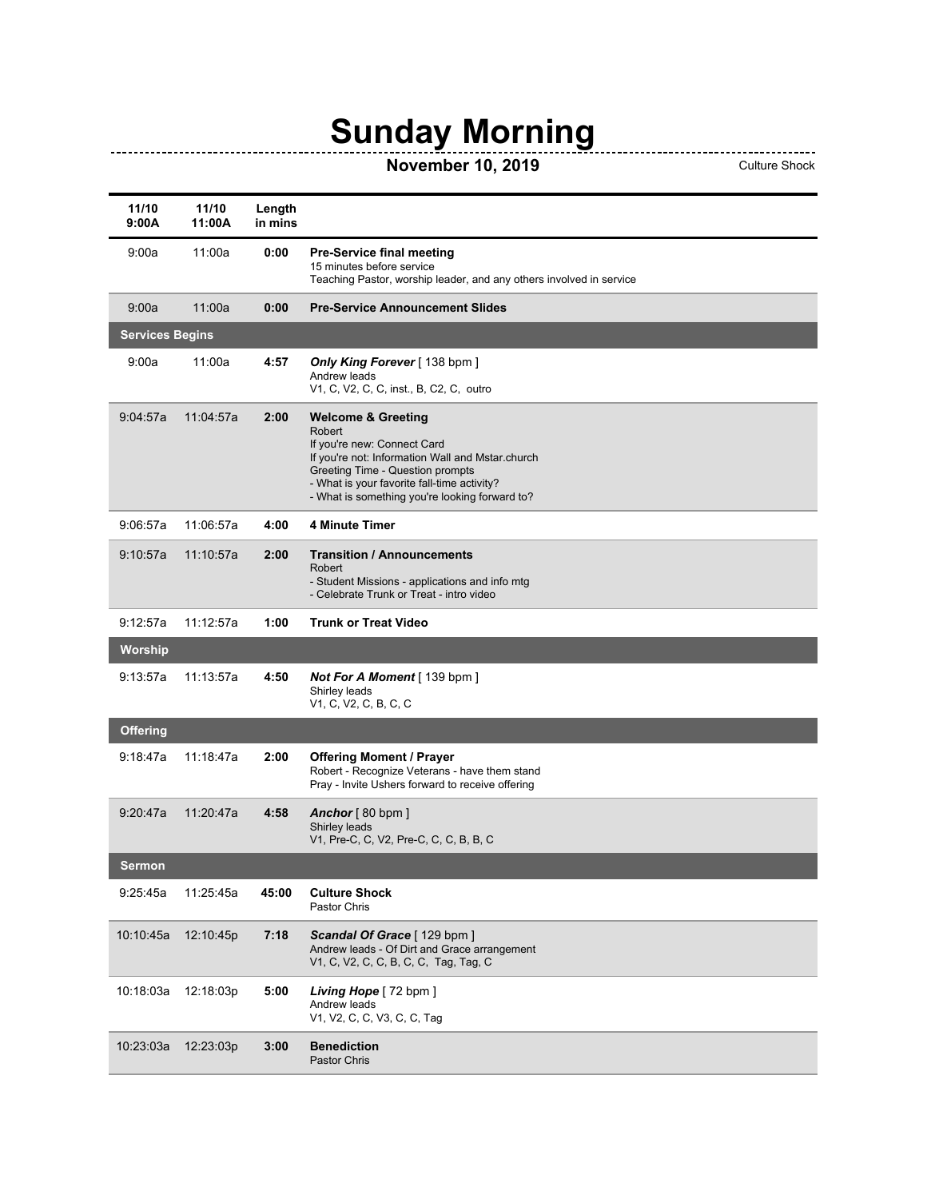## **Sunday Morning**

## **November 10, 2019** Culture Shock

| 11/10<br>9:00A         | 11/10<br>11:00A | Length<br>in mins |                                                                                                                                                                                                                                                                 |
|------------------------|-----------------|-------------------|-----------------------------------------------------------------------------------------------------------------------------------------------------------------------------------------------------------------------------------------------------------------|
| 9:00a                  | 11:00a          | 0:00              | <b>Pre-Service final meeting</b><br>15 minutes before service<br>Teaching Pastor, worship leader, and any others involved in service                                                                                                                            |
| 9:00a                  | 11:00a          | 0:00              | <b>Pre-Service Announcement Slides</b>                                                                                                                                                                                                                          |
| <b>Services Begins</b> |                 |                   |                                                                                                                                                                                                                                                                 |
| 9:00a                  | 11:00a          | 4:57              | Only King Forever [138 bpm]<br>Andrew leads<br>V1, C, V2, C, C, inst., B, C2, C, outro                                                                                                                                                                          |
| 9:04:57a               | 11:04:57a       | 2:00              | <b>Welcome &amp; Greeting</b><br>Robert<br>If you're new: Connect Card<br>If you're not: Information Wall and Mstar.church<br>Greeting Time - Question prompts<br>- What is your favorite fall-time activity?<br>- What is something you're looking forward to? |
| 9:06:57a               | 11:06:57a       | 4:00              | <b>4 Minute Timer</b>                                                                                                                                                                                                                                           |
| 9:10:57a               | 11:10:57a       | 2:00              | <b>Transition / Announcements</b><br>Robert<br>- Student Missions - applications and info mtg<br>- Celebrate Trunk or Treat - intro video                                                                                                                       |
| 9:12:57a               | 11:12:57a       | 1:00              | <b>Trunk or Treat Video</b>                                                                                                                                                                                                                                     |
| Worship                |                 |                   |                                                                                                                                                                                                                                                                 |
| 9:13:57a               | 11:13:57a       | 4:50              | <b>Not For A Moment</b> [139 bpm]<br>Shirley leads<br>V1, C, V2, C, B, C, C                                                                                                                                                                                     |
| Offering               |                 |                   |                                                                                                                                                                                                                                                                 |
| 9:18:47a               | 11:18:47a       | 2:00              | <b>Offering Moment / Prayer</b><br>Robert - Recognize Veterans - have them stand<br>Pray - Invite Ushers forward to receive offering                                                                                                                            |
| 9:20:47a               | 11:20:47a       | 4:58              | Anchor $[80$ bpm ]<br>Shirley leads<br>V1, Pre-C, C, V2, Pre-C, C, C, B, B, C                                                                                                                                                                                   |
| Sermon                 |                 |                   |                                                                                                                                                                                                                                                                 |
| 9:25:45a               | 11:25:45a       | 45:00             | <b>Culture Shock</b><br>Pastor Chris                                                                                                                                                                                                                            |
| 10:10:45a              | 12:10:45p       | 7:18              | Scandal Of Grace [129 bpm ]<br>Andrew leads - Of Dirt and Grace arrangement<br>V1, C, V2, C, C, B, C, C, Tag, Tag, C                                                                                                                                            |
| 10:18:03a              | 12:18:03p       | 5:00              | Living Hope [72 bpm ]<br>Andrew leads<br>V1, V2, C, C, V3, C, C, Tag                                                                                                                                                                                            |
| 10:23:03a              | 12:23:03p       | 3:00              | <b>Benediction</b><br>Pastor Chris                                                                                                                                                                                                                              |